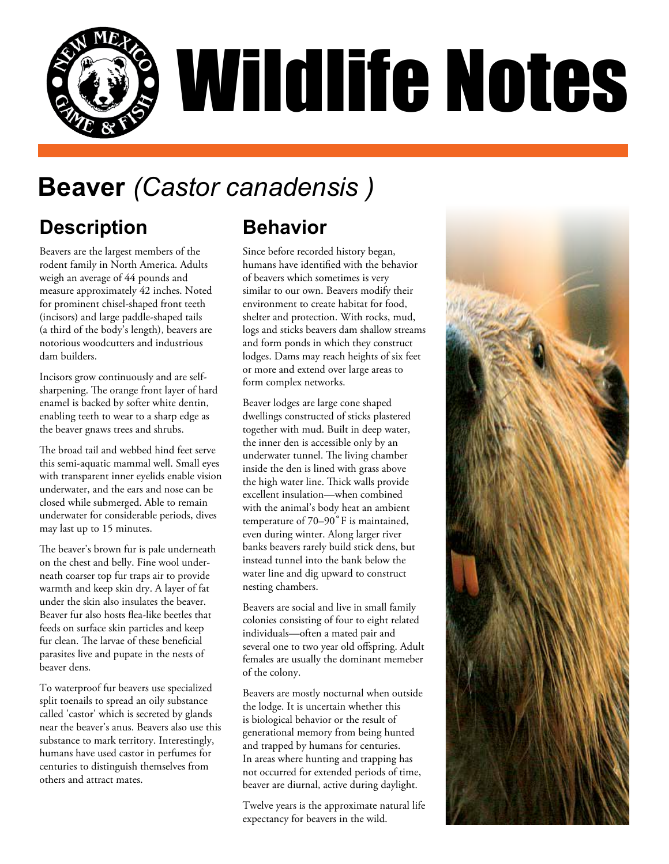

# **Beaver** *(Castor canadensis )*

## **Description**

Beavers are the largest members of the rodent family in North America. Adults weigh an average of 44 pounds and measure approximately 42 inches. Noted for prominent chisel-shaped front teeth (incisors) and large paddle-shaped tails (a third of the body's length), beavers are notorious woodcutters and industrious dam builders.

Incisors grow continuously and are selfsharpening. The orange front layer of hard enamel is backed by softer white dentin, enabling teeth to wear to a sharp edge as the beaver gnaws trees and shrubs.

The broad tail and webbed hind feet serve this semi-aquatic mammal well. Small eyes with transparent inner eyelids enable vision underwater, and the ears and nose can be closed while submerged. Able to remain underwater for considerable periods, dives may last up to 15 minutes.

The beaver's brown fur is pale underneath on the chest and belly. Fine wool underneath coarser top fur traps air to provide warmth and keep skin dry. A layer of fat under the skin also insulates the beaver. Beaver fur also hosts flea-like beetles that feeds on surface skin particles and keep fur clean. The larvae of these beneficial parasites live and pupate in the nests of beaver dens.

To waterproof fur beavers use specialized split toenails to spread an oily substance called 'castor' which is secreted by glands near the beaver's anus. Beavers also use this substance to mark territory. Interestingly, humans have used castor in perfumes for centuries to distinguish themselves from others and attract mates.

## **Behavior**

Since before recorded history began, humans have identified with the behavior of beavers which sometimes is very similar to our own. Beavers modify their environment to create habitat for food, shelter and protection. With rocks, mud, logs and sticks beavers dam shallow streams and form ponds in which they construct lodges. Dams may reach heights of six feet or more and extend over large areas to form complex networks.

Beaver lodges are large cone shaped dwellings constructed of sticks plastered together with mud. Built in deep water, the inner den is accessible only by an underwater tunnel. The living chamber inside the den is lined with grass above the high water line. Thick walls provide excellent insulation—when combined with the animal's body heat an ambient temperature of  $70-90^\circ$ F is maintained, even during winter. Along larger river banks beavers rarely build stick dens, but instead tunnel into the bank below the water line and dig upward to construct nesting chambers.

Beavers are social and live in small family colonies consisting of four to eight related individuals—often a mated pair and several one to two year old offspring. Adult females are usually the dominant memeber of the colony.

Beavers are mostly nocturnal when outside the lodge. It is uncertain whether this is biological behavior or the result of generational memory from being hunted and trapped by humans for centuries. In areas where hunting and trapping has not occurred for extended periods of time, beaver are diurnal, active during daylight.

Twelve years is the approximate natural life expectancy for beavers in the wild.